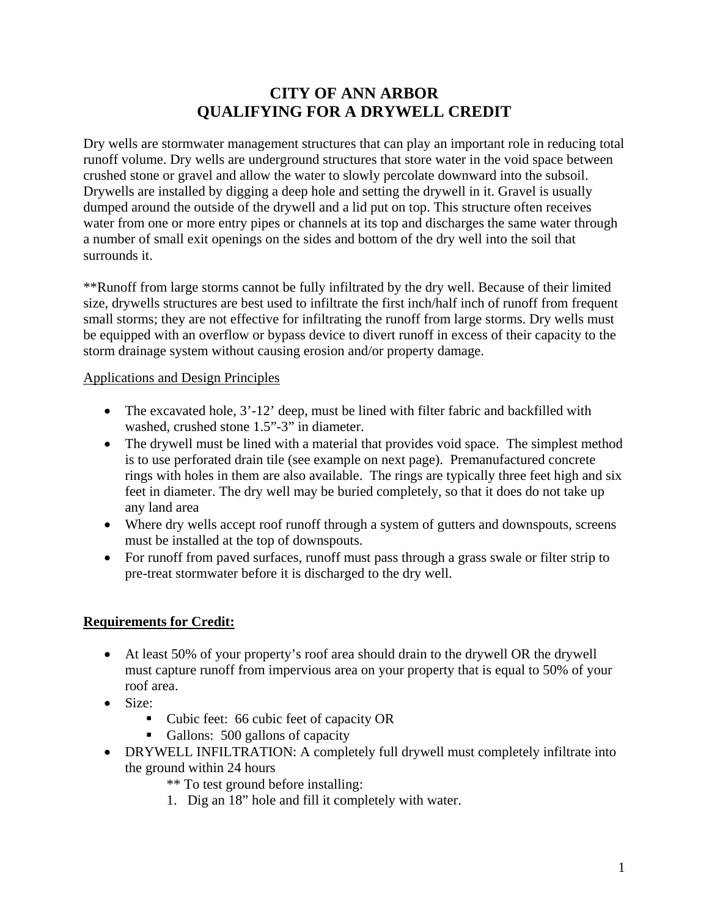## **CITY OF ANN ARBOR QUALIFYING FOR A DRYWELL CREDIT**

Dry wells are stormwater management structures that can play an important role in reducing total runoff volume. Dry wells are underground structures that store water in the void space between crushed stone or gravel and allow the water to slowly percolate downward into the subsoil. Drywells are installed by digging a deep hole and setting the drywell in it. Gravel is usually dumped around the outside of the drywell and a lid put on top. This structure often receives water from one or more entry pipes or channels at its top and discharges the same water through a number of small exit openings on the sides and bottom of the dry well into the soil that surrounds it.

\*\*Runoff from large storms cannot be fully infiltrated by the dry well. Because of their limited size, drywells structures are best used to infiltrate the first inch/half inch of runoff from frequent small storms; they are not effective for infiltrating the runoff from large storms. Dry wells must be equipped with an overflow or bypass device to divert runoff in excess of their capacity to the storm drainage system without causing erosion and/or property damage.

## Applications and Design Principles

- The excavated hole,  $3'-12'$  deep, must be lined with filter fabric and backfilled with washed, crushed stone 1.5"-3" in diameter.
- The drywell must be lined with a material that provides void space. The simplest method is to use perforated drain tile (see example on next page). Premanufactured concrete rings with holes in them are also available. The rings are typically three feet high and six feet in diameter. The dry well may be buried completely, so that it does do not take up any land area
- Where dry wells accept roof runoff through a system of gutters and downspouts, screens must be installed at the top of downspouts.
- For runoff from paved surfaces, runoff must pass through a grass swale or filter strip to pre-treat stormwater before it is discharged to the dry well.

## **Requirements for Credit:**

- At least 50% of your property's roof area should drain to the drywell OR the drywell must capture runoff from impervious area on your property that is equal to 50% of your roof area.
- Size:
	- Cubic feet: 66 cubic feet of capacity OR
	- Gallons: 500 gallons of capacity
- DRYWELL INFILTRATION: A completely full drywell must completely infiltrate into the ground within 24 hours
	- \*\* To test ground before installing:
	- 1. Dig an 18" hole and fill it completely with water.